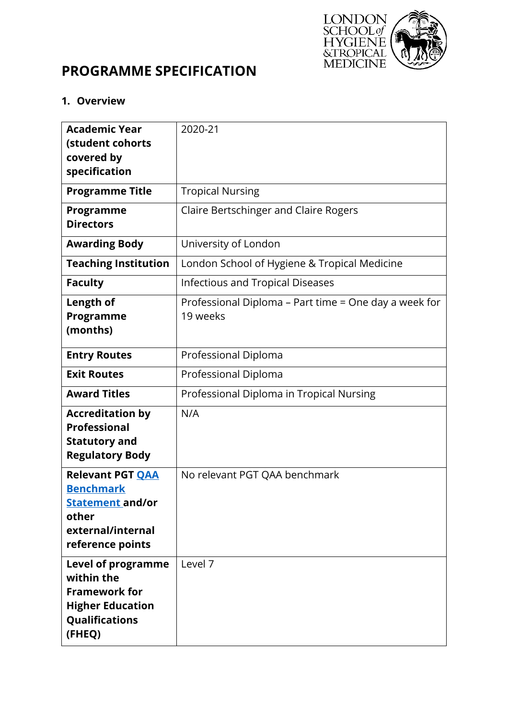

# **PROGRAMME SPECIFICATION**

#### **1. Overview**

| <b>Academic Year</b><br>(student cohorts<br>covered by<br>specification                                                       | 2020-21                                                           |
|-------------------------------------------------------------------------------------------------------------------------------|-------------------------------------------------------------------|
| <b>Programme Title</b>                                                                                                        | <b>Tropical Nursing</b>                                           |
| Programme<br><b>Directors</b>                                                                                                 | Claire Bertschinger and Claire Rogers                             |
| <b>Awarding Body</b>                                                                                                          | University of London                                              |
| <b>Teaching Institution</b>                                                                                                   | London School of Hygiene & Tropical Medicine                      |
| <b>Faculty</b>                                                                                                                | <b>Infectious and Tropical Diseases</b>                           |
| Length of<br>Programme<br>(months)                                                                                            | Professional Diploma - Part time = One day a week for<br>19 weeks |
| <b>Entry Routes</b>                                                                                                           | Professional Diploma                                              |
| <b>Exit Routes</b>                                                                                                            | Professional Diploma                                              |
| <b>Award Titles</b>                                                                                                           | Professional Diploma in Tropical Nursing                          |
| <b>Accreditation by</b><br><b>Professional</b><br><b>Statutory and</b><br><b>Regulatory Body</b>                              | N/A                                                               |
| <b>Relevant PGT QAA</b><br><b>Benchmark</b><br><u>Statement and/or</u><br>other<br>external/internal<br>reference points      | No relevant PGT QAA benchmark                                     |
| <b>Level of programme</b><br>within the<br><b>Framework for</b><br><b>Higher Education</b><br><b>Qualifications</b><br>(FHEQ) | Level 7                                                           |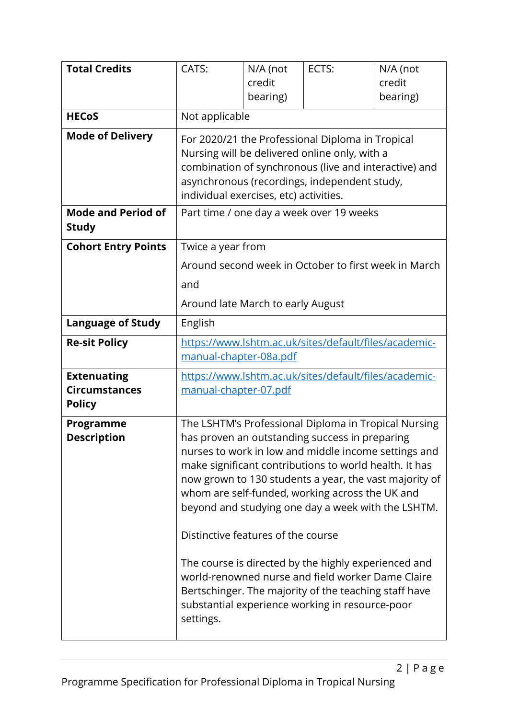| <b>Total Credits</b>                                        | CATS:                                                                                                                                                                                                                                                                                                                                                                                                                                                                                                                                                                                                                                                      | N/A (not<br>credit<br>bearing) | ECTS:                                                 | N/A (not<br>credit<br>bearing) |
|-------------------------------------------------------------|------------------------------------------------------------------------------------------------------------------------------------------------------------------------------------------------------------------------------------------------------------------------------------------------------------------------------------------------------------------------------------------------------------------------------------------------------------------------------------------------------------------------------------------------------------------------------------------------------------------------------------------------------------|--------------------------------|-------------------------------------------------------|--------------------------------|
| <b>HECoS</b>                                                | Not applicable                                                                                                                                                                                                                                                                                                                                                                                                                                                                                                                                                                                                                                             |                                |                                                       |                                |
| <b>Mode of Delivery</b>                                     | For 2020/21 the Professional Diploma in Tropical<br>Nursing will be delivered online only, with a<br>combination of synchronous (live and interactive) and<br>asynchronous (recordings, independent study,<br>individual exercises, etc) activities.                                                                                                                                                                                                                                                                                                                                                                                                       |                                |                                                       |                                |
| <b>Mode and Period of</b><br><b>Study</b>                   |                                                                                                                                                                                                                                                                                                                                                                                                                                                                                                                                                                                                                                                            |                                | Part time / one day a week over 19 weeks              |                                |
| <b>Cohort Entry Points</b>                                  | Twice a year from<br>and<br>Around late March to early August                                                                                                                                                                                                                                                                                                                                                                                                                                                                                                                                                                                              |                                | Around second week in October to first week in March  |                                |
| <b>Language of Study</b>                                    | English                                                                                                                                                                                                                                                                                                                                                                                                                                                                                                                                                                                                                                                    |                                |                                                       |                                |
| <b>Re-sit Policy</b>                                        | manual-chapter-08a.pdf                                                                                                                                                                                                                                                                                                                                                                                                                                                                                                                                                                                                                                     |                                | https://www.lshtm.ac.uk/sites/default/files/academic- |                                |
| <b>Extenuating</b><br><b>Circumstances</b><br><b>Policy</b> | manual-chapter-07.pdf                                                                                                                                                                                                                                                                                                                                                                                                                                                                                                                                                                                                                                      |                                | https://www.lshtm.ac.uk/sites/default/files/academic- |                                |
| Programme<br><b>Description</b>                             | The LSHTM's Professional Diploma in Tropical Nursing<br>has proven an outstanding success in preparing<br>nurses to work in low and middle income settings and<br>make significant contributions to world health. It has<br>now grown to 130 students a year, the vast majority of<br>whom are self-funded, working across the UK and<br>beyond and studying one day a week with the LSHTM.<br>Distinctive features of the course<br>The course is directed by the highly experienced and<br>world-renowned nurse and field worker Dame Claire<br>Bertschinger. The majority of the teaching staff have<br>substantial experience working in resource-poor |                                |                                                       |                                |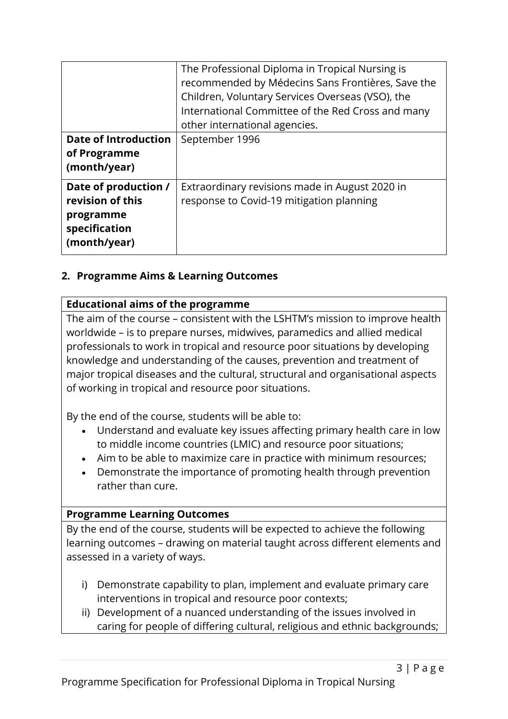|                                                                                        | The Professional Diploma in Tropical Nursing is<br>recommended by Médecins Sans Frontières, Save the<br>Children, Voluntary Services Overseas (VSO), the<br>International Committee of the Red Cross and many<br>other international agencies. |
|----------------------------------------------------------------------------------------|------------------------------------------------------------------------------------------------------------------------------------------------------------------------------------------------------------------------------------------------|
| <b>Date of Introduction</b><br>of Programme<br>(month/year)                            | September 1996                                                                                                                                                                                                                                 |
| Date of production /<br>revision of this<br>programme<br>specification<br>(month/year) | Extraordinary revisions made in August 2020 in<br>response to Covid-19 mitigation planning                                                                                                                                                     |

#### **2. Programme Aims & Learning Outcomes**

#### **Educational aims of the programme**

The aim of the course – consistent with the LSHTM's mission to improve health worldwide – is to prepare nurses, midwives, paramedics and allied medical professionals to work in tropical and resource poor situations by developing knowledge and understanding of the causes, prevention and treatment of major tropical diseases and the cultural, structural and organisational aspects of working in tropical and resource poor situations.

By the end of the course, students will be able to:

- Understand and evaluate key issues affecting primary health care in low to middle income countries (LMIC) and resource poor situations;
- Aim to be able to maximize care in practice with minimum resources;
- Demonstrate the importance of promoting health through prevention rather than cure.

#### **Programme Learning Outcomes**

By the end of the course, students will be expected to achieve the following learning outcomes – drawing on material taught across different elements and assessed in a variety of ways.

- i) Demonstrate capability to plan, implement and evaluate primary care interventions in tropical and resource poor contexts;
- ii) Development of a nuanced understanding of the issues involved in caring for people of differing cultural, religious and ethnic backgrounds;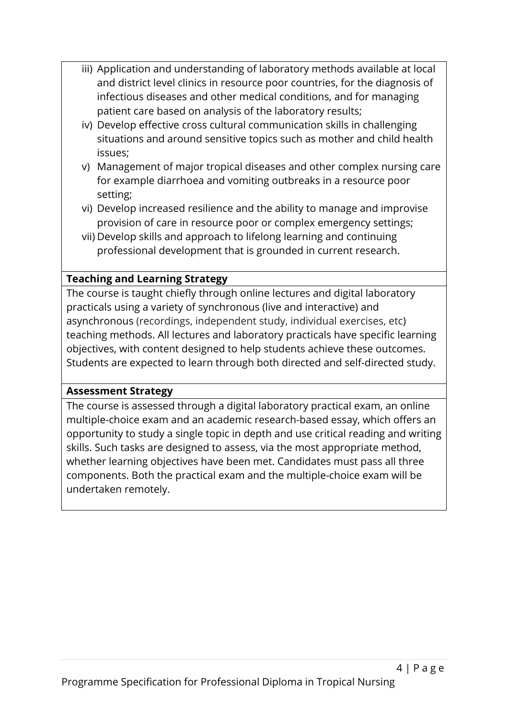- iii) Application and understanding of laboratory methods available at local and district level clinics in resource poor countries, for the diagnosis of infectious diseases and other medical conditions, and for managing patient care based on analysis of the laboratory results;
- iv) Develop effective cross cultural communication skills in challenging situations and around sensitive topics such as mother and child health issues;
- v) Management of major tropical diseases and other complex nursing care for example diarrhoea and vomiting outbreaks in a resource poor setting;
- vi) Develop increased resilience and the ability to manage and improvise provision of care in resource poor or complex emergency settings;
- vii) Develop skills and approach to lifelong learning and continuing professional development that is grounded in current research.

# **Teaching and Learning Strategy**

The course is taught chiefly through online lectures and digital laboratory practicals using a variety of synchronous (live and interactive) and asynchronous (recordings, independent study, individual exercises, etc) teaching methods. All lectures and laboratory practicals have specific learning objectives, with content designed to help students achieve these outcomes. Students are expected to learn through both directed and self-directed study.

## **Assessment Strategy**

The course is assessed through a digital laboratory practical exam, an online multiple-choice exam and an academic research-based essay, which offers an opportunity to study a single topic in depth and use critical reading and writing skills. Such tasks are designed to assess, via the most appropriate method, whether learning objectives have been met. Candidates must pass all three components. Both the practical exam and the multiple-choice exam will be undertaken remotely.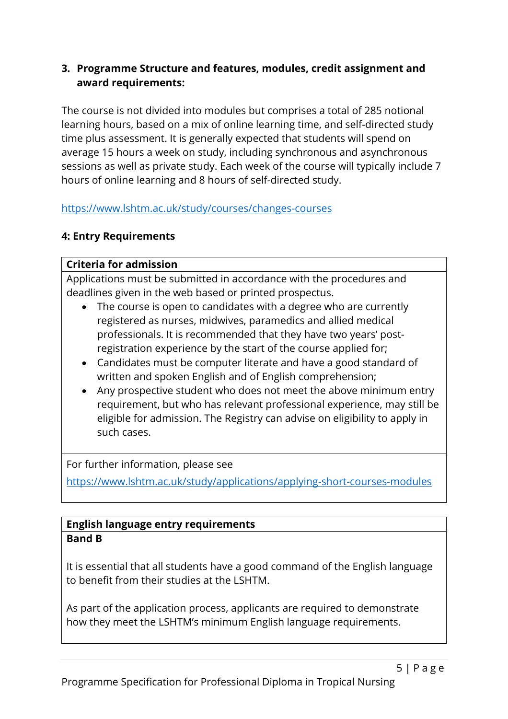#### **3. Programme Structure and features, modules, credit assignment and award requirements:**

The course is not divided into modules but comprises a total of 285 notional learning hours, based on a mix of online learning time, and self-directed study time plus assessment. It is generally expected that students will spend on average 15 hours a week on study, including synchronous and asynchronous sessions as well as private study. Each week of the course will typically include 7 hours of online learning and 8 hours of self-directed study.

https://www.lshtm.ac.uk/study/courses/changes-courses

# **4: Entry Requirements**

## **Criteria for admission**

Applications must be submitted in accordance with the procedures and deadlines given in the web based or printed prospectus.

- The course is open to candidates with a degree who are currently registered as nurses, midwives, paramedics and allied medical professionals. It is recommended that they have two years' postregistration experience by the start of the course applied for;
- Candidates must be computer literate and have a good standard of written and spoken English and of English comprehension;
- Any prospective student who does not meet the above minimum entry requirement, but who has relevant professional experience, may still be eligible for admission. The Registry can advise on eligibility to apply in such cases.

For further information, please see

https://www.lshtm.ac.uk/study/applications/applying-short-courses-modules

# **English language entry requirements Band B**

It is essential that all students have a good command of the English language to benefit from their studies at the LSHTM.

As part of the application process, applicants are required to demonstrate how they meet the LSHTM's minimum English language requirements.